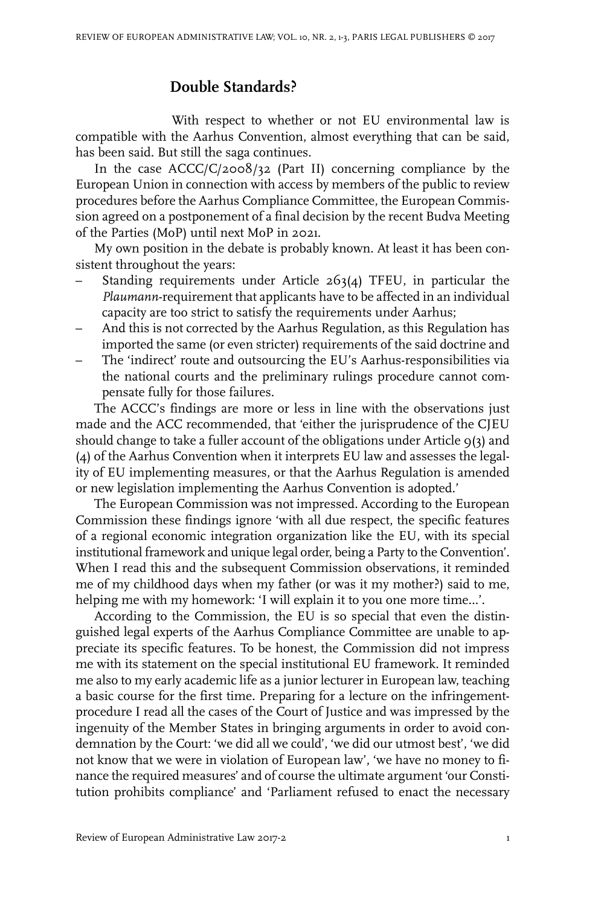## **Double Standards?**

With respect to whether or not EU environmental law is compatible with the Aarhus Convention, almost everything that can be said, has been said. But still the saga continues.

In the case ACCC/C/2008/32 (Part II) concerning compliance by the European Union in connection with access by members of the public to review procedures before the Aarhus Compliance Committee, the European Commission agreed on a postponement of a final decision by the recent Budva Meeting of the Parties (MoP) until next MoP in 2021.

My own position in the debate is probably known. At least it has been consistent throughout the years:

- Standing requirements under Article 263(4) TFEU, in particular the *Plaumann*-requirement that applicants have to be affected in an individual capacity are too strict to satisfy the requirements under Aarhus;
- And this is not corrected by the Aarhus Regulation, as this Regulation has imported the same (or even stricter) requirements of the said doctrine and
- The 'indirect' route and outsourcing the EU's Aarhus-responsibilities via the national courts and the preliminary rulings procedure cannot compensate fully for those failures.

The ACCC's findings are more or less in line with the observations just made and the ACC recommended, that 'either the jurisprudence of the CJEU should change to take a fuller account of the obligations under Article  $q(3)$  and (4) of the Aarhus Convention when it interprets EU law and assesses the legality of EU implementing measures, or that the Aarhus Regulation is amended or new legislation implementing the Aarhus Convention is adopted.'

The European Commission was not impressed. According to the European Commission these findings ignore 'with all due respect, the specific features of a regional economic integration organization like the EU, with its special institutional framework and unique legal order, being a Party to the Convention'. When I read this and the subsequent Commission observations, it reminded me of my childhood days when my father (or was it my mother?) said to me, helping me with my homework: 'I will explain it to you one more time…'.

According to the Commission, the EU is so special that even the distinguished legal experts of the Aarhus Compliance Committee are unable to appreciate its specific features. To be honest, the Commission did not impress me with its statement on the special institutional EU framework. It reminded me also to my early academic life as a junior lecturer in European law, teaching a basic course for the first time. Preparing for a lecture on the infringementprocedure I read all the cases of the Court of Justice and was impressed by the ingenuity of the Member States in bringing arguments in order to avoid condemnation by the Court: 'we did all we could', 'we did our utmost best', 'we did not know that we were in violation of European law', 'we have no money to finance the required measures' and of course the ultimate argument 'our Constitution prohibits compliance' and 'Parliament refused to enact the necessary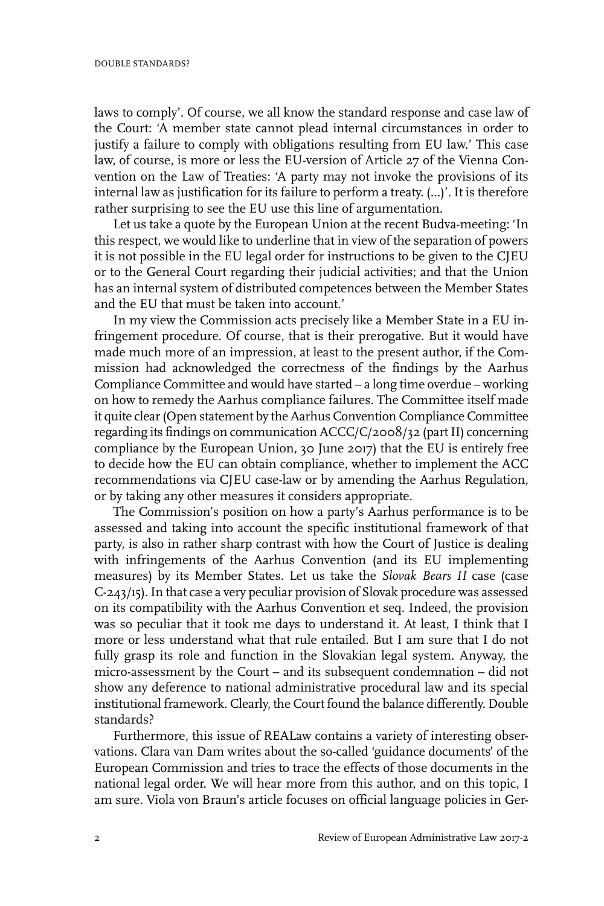laws to comply'. Of course, we all know the standard response and case law of the Court: 'A member state cannot plead internal circumstances in order to justify a failure to comply with obligations resulting from EU law.' This case law, of course, is more or less the EU-version of Article 27 of the Vienna Convention on the Law of Treaties: 'A party may not invoke the provisions of its internal law as justification for its failure to perform a treaty. (...)'. It is therefore rather surprising to see the EU use this line of argumentation.

Let us take a quote by the European Union at the recent Budva-meeting: 'In this respect, we would like to underline that in view of the separation of powers it is not possible in the EU legal order for instructions to be given to the CJEU or to the General Court regarding their judicial activities; and that the Union has an internal system of distributed competences between the Member States and the EU that must be taken into account.'

In my view the Commission acts precisely like a Member State in a EU infringement procedure. Of course, that is their prerogative. But it would have made much more of an impression, at least to the present author, if the Commission had acknowledged the correctness of the findings by the Aarhus Compliance Committee and would have started – a long time overdue – working on how to remedy the Aarhus compliance failures. The Committee itself made it quite clear (Open statement by the Aarhus Convention Compliance Committee regarding its findings on communication ACCC/C/2008/32 (partII) concerning compliance by the European Union, 30 June 2017) that the EU is entirely free to decide how the EU can obtain compliance, whether to implement the ACC recommendations via CJEU case-law or by amending the Aarhus Regulation, or by taking any other measures it considers appropriate.

The Commission's position on how a party's Aarhus performance is to be assessed and taking into account the specific institutional framework of that party, is also in rather sharp contrast with how the Court of Justice is dealing with infringements of the Aarhus Convention (and its EU implementing measures) by its Member States. Let us take the *Slovak Bears II* case (case C-243/15).In that case a very peculiar provision of Slovak procedure was assessed on its compatibility with the Aarhus Convention et seq. Indeed, the provision was so peculiar that it took me days to understand it. At least, I think that I more or less understand what that rule entailed. But I am sure that I do not fully grasp its role and function in the Slovakian legal system. Anyway, the micro-assessment by the Court – and its subsequent condemnation – did not show any deference to national administrative procedural law and its special institutional framework. Clearly, the Court found the balance differently. Double standards?

Furthermore, this issue of REALaw contains a variety of interesting observations. Clara van Dam writes about the so-called 'guidance documents' of the European Commission and tries to trace the effects of those documents in the national legal order. We will hear more from this author, and on this topic, I am sure. Viola von Braun's article focuses on official language policies in Ger-